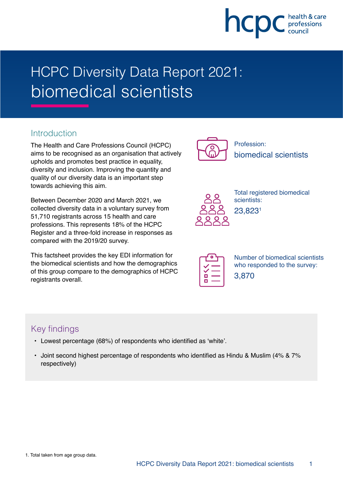

# HCPC Diversity Data Report 2021: biomedical scientists

### **Introduction**

The Health and Care Professions Council (HCPC) aims to be recognised as an organisation that actively upholds and promotes best practice in equality, diversity and inclusion. Improving the quantity and quality of our diversity data is an important step towards achieving this aim.

Between December 2020 and March 2021, we collected diversity data in a voluntary survey from 51,710 registrants across 15 health and care professions. This represents 18% of the HCPC Register and a three-fold increase in responses as compared with the 2019/20 survey.

This factsheet provides the key EDI information for the biomedical scientists and how the demographics of this group compare to the demographics of HCPC registrants overall.



Profession: biomedical scientists



Total registered biomedical scientists: 23,8231

Number of biomedical scientists who responded to the survey: 3,870

## Key findings

- Lowest percentage (68%) of respondents who identified as 'white'.
- Joint second highest percentage of respondents who identified as Hindu & Muslim (4% & 7% respectively)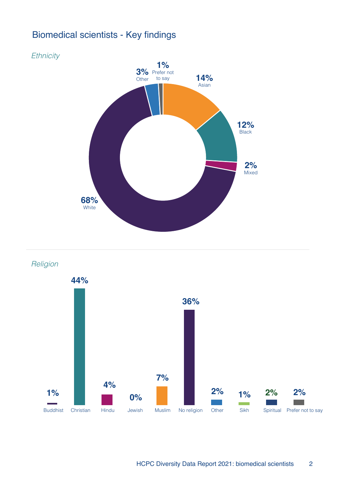## Biomedical scientists - Key findings



Religion



HCPC Diversity Data Report 2021: biomedical scientists 2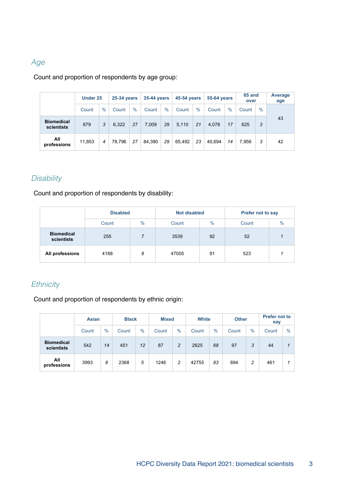#### Age

Count and proportion of respondents by age group:

|                                 | <b>Under 25</b> |      | 25-34 years |      | <b>35-44 years</b> |      | <b>45-54 years</b> |      | <b>55-64 vears</b> |      | 65 and<br>over |      | Average<br>age |
|---------------------------------|-----------------|------|-------------|------|--------------------|------|--------------------|------|--------------------|------|----------------|------|----------------|
|                                 | Count           | $\%$ | Count       | $\%$ | Count              | $\%$ | Count              | $\%$ | Count              | $\%$ | Count          | $\%$ |                |
| <b>Biomedical</b><br>scientists | 679             | 3    | 6.322       | 27   | 7,009              | 29   | 5.110              | 21   | 4,078              | 17   | 625            | 3    | 43             |
| All<br>professions              | 11,853          | 4    | 78.796      | 27   | 84.390             | 29   | 65.492             | 23   | 40.694             | 14   | 7.956          | 3    | 42             |

#### **Disability**

Count and proportion of respondents by disability:

|                                 | <b>Disabled</b> |      | <b>Not disabled</b> |      | <b>Prefer not to say</b> |  |  |
|---------------------------------|-----------------|------|---------------------|------|--------------------------|--|--|
|                                 | Count           | $\%$ | Count               | $\%$ | $\frac{0}{0}$<br>Count   |  |  |
| <b>Biomedical</b><br>scientists | 255             |      | 3539                | 92   | 52                       |  |  |
| All professions                 | 4188            | 8    | 47005               | 91   | 523                      |  |  |

#### **Ethnicity**

Count and proportion of respondents by ethnic origin:

|                                 | <b>Asian</b> |      | <b>Black</b> |      |       | <b>Mixed</b> |       | <b>White</b> |       | <b>Other</b> | <b>Prefer not to</b><br>say |               |
|---------------------------------|--------------|------|--------------|------|-------|--------------|-------|--------------|-------|--------------|-----------------------------|---------------|
|                                 | Count        | $\%$ | Count        | $\%$ | Count | $\%$         | Count | $\%$         | Count | $\%$         | Count                       | $\frac{0}{0}$ |
| <b>Biomedical</b><br>scientists | 542          | 14   | 451          | 12   | 87    | 2            | 2625  | 68           | 97    | 3            | 44                          |               |
| All<br>professions              | 3993         | 8    | 2368         | 5    | 1246  | 2            | 42755 | 83           | 894   | 2            | 461                         |               |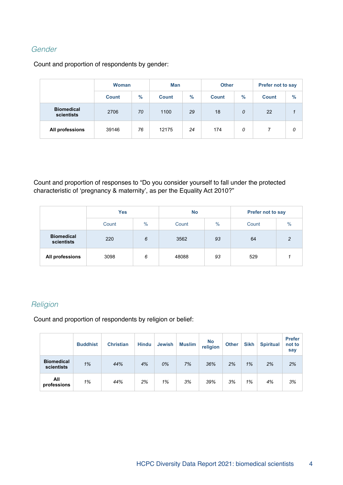### Gender

Count and proportion of respondents by gender:

|                                 | <b>Woman</b> |      | Man          |               | <b>Other</b> |      | Prefer not to say |               |  |
|---------------------------------|--------------|------|--------------|---------------|--------------|------|-------------------|---------------|--|
|                                 | <b>Count</b> | $\%$ | <b>Count</b> | $\frac{9}{6}$ |              | $\%$ | <b>Count</b>      | $\frac{9}{6}$ |  |
| <b>Biomedical</b><br>scientists | 2706         | 70   | 1100         | 29            | 18           | 0    | 22                |               |  |
| All professions                 | 39146        | 76   | 12175        | 24            | 174          | 0    |                   | 0             |  |

Count and proportion of responses to "Do you consider yourself to fall under the protected characteristic of 'pregnancy & maternity', as per the Equality Act 2010?"

|                                 | <b>Yes</b> |      | <b>No</b> |               | Prefer not to say |      |  |
|---------------------------------|------------|------|-----------|---------------|-------------------|------|--|
|                                 | Count      | $\%$ | Count     | $\frac{0}{0}$ | Count             | $\%$ |  |
| <b>Biomedical</b><br>scientists | 220        | 6    | 3562      | 93            | 64                | 2    |  |
| All professions                 | 3098       | 6    | 48088     | 93            | 529               |      |  |

#### **Religion**

Count and proportion of respondents by religion or belief:

|                                 | <b>Buddhist</b> | <b>Christian</b> | <b>Hindu</b> | <b>Jewish</b> | <b>Muslim</b> | <b>No</b><br>religion | <b>Other</b> | <b>Sikh</b> | <b>Spiritual</b> | <b>Prefer</b><br>not to<br>say |
|---------------------------------|-----------------|------------------|--------------|---------------|---------------|-----------------------|--------------|-------------|------------------|--------------------------------|
| <b>Biomedical</b><br>scientists | 1%              | 44%              | 4%           | 0%            | 7%            | 36%                   | 2%           | 1%          | 2%               | 2%                             |
| All<br>professions              | 1%              | 44%              | 2%           | 1%            | 3%            | 39%                   | 3%           | 1%          | 4%               | 3%                             |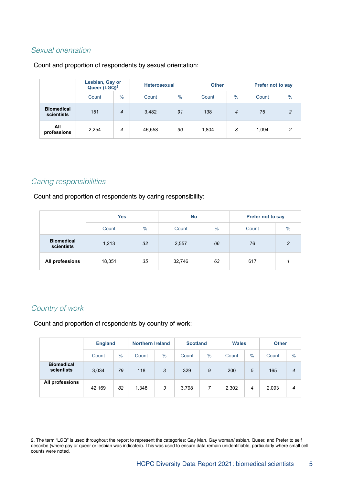#### Sexual orientation

#### Count and proportion of respondents by sexual orientation:

|                                 | Lesbian, Gay or<br>Queer (LGQ) <sup>2</sup> |                | <b>Heterosexual</b> |      | <b>Other</b> |      | <b>Prefer not to say</b> |                |  |
|---------------------------------|---------------------------------------------|----------------|---------------------|------|--------------|------|--------------------------|----------------|--|
|                                 | Count                                       | $\frac{0}{0}$  | Count               | $\%$ | Count        | $\%$ | Count                    | $\frac{0}{0}$  |  |
| <b>Biomedical</b><br>scientists | 151                                         | $\overline{4}$ | 3,482               | 91   | 138          | 4    | 75                       | $\overline{2}$ |  |
| All<br>professions              | 2,254                                       | 4              | 46,558              | 90   | 1,804        | 3    | 1,094                    | 2              |  |

#### Caring responsibilities

Count and proportion of respondents by caring responsibility:

|                                 | <b>Yes</b> |      | <b>No</b> |      | <b>Prefer not to say</b> |               |  |
|---------------------------------|------------|------|-----------|------|--------------------------|---------------|--|
|                                 | Count      | $\%$ | Count     | $\%$ | Count                    | $\frac{0}{0}$ |  |
| <b>Biomedical</b><br>scientists | 1,213      | 32   | 2,557     | 66   | 76                       | 2             |  |
| All professions                 | 18,351     | 35   | 32,746    | 63   | 617                      |               |  |

#### Country of work

Count and proportion of respondents by country of work:

|                                 | <b>England</b> |      | <b>Northern Ireland</b> |      | <b>Scotland</b> |               | <b>Wales</b> |               | <b>Other</b> |                |
|---------------------------------|----------------|------|-------------------------|------|-----------------|---------------|--------------|---------------|--------------|----------------|
|                                 | Count          | $\%$ | Count                   | $\%$ | Count           | $\frac{0}{0}$ | Count        | $\frac{0}{0}$ | Count        | $\frac{0}{0}$  |
| <b>Biomedical</b><br>scientists | 3,034          | 79   | 118                     | 3    | 329             | 9             | 200          | 5             | 165          | $\overline{4}$ |
| All professions                 | 42,169         | 82   | 1,348                   | 3    | 3,798           | 7             | 2,302        | 4             | 2,093        | 4              |

2. The term "LGQ" is used throughout the report to represent the categories: Gay Man, Gay woman/lesbian, Queer, and Prefer to self describe (where gay or queer or lesbian was indicated). This was used to ensure data remain unidentifiable, particularly where small cell counts were noted.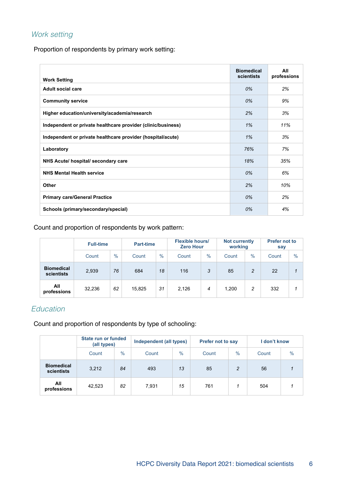#### Work setting

Proportion of respondents by primary work setting:

| <b>Work Setting</b>                                          | <b>Biomedical</b><br>scientists | All<br>professions |
|--------------------------------------------------------------|---------------------------------|--------------------|
| Adult social care                                            | 0%                              | 2%                 |
| <b>Community service</b>                                     | 0%                              | 9%                 |
| Higher education/university/academia/research                | 2%                              | 3%                 |
| Independent or private healthcare provider (clinic/business) | 1%                              | 11%                |
| Independent or private healthcare provider (hospital/acute)  | 1%                              | 3%                 |
| Laboratory                                                   | 76%                             | 7%                 |
| NHS Acute/ hospital/ secondary care                          | 18%                             | 35%                |
| <b>NHS Mental Health service</b>                             | 0%                              | 6%                 |
| <b>Other</b>                                                 | 2%                              | 10%                |
| <b>Primary care/General Practice</b>                         | 0%                              | 2%                 |
| Schools (primary/secondary/special)                          | 0%                              | 4%                 |

Count and proportion of respondents by work pattern:

|                                 | <b>Full-time</b> |               | <b>Part-time</b> |               | <b>Flexible hours/</b><br><b>Zero Hour</b> |                | <b>Not currently</b><br>working |                | <b>Prefer not to</b><br>say |               |
|---------------------------------|------------------|---------------|------------------|---------------|--------------------------------------------|----------------|---------------------------------|----------------|-----------------------------|---------------|
|                                 | Count            | $\frac{0}{0}$ | Count            | $\frac{0}{0}$ | Count                                      | $\%$           | Count                           | $\%$           | Count                       | $\frac{0}{0}$ |
| <b>Biomedical</b><br>scientists | 2,939            | 76            | 684              | 18            | 116                                        | 3              | 85                              | $\overline{c}$ | 22                          |               |
| All<br>professions              | 32,236           | 62            | 15,825           | 31            | 2,126                                      | $\overline{4}$ | 1.200                           | 2              | 332                         |               |

#### Education

Count and proportion of respondents by type of schooling:

|                                 | State run or funded<br>(all types) |               | Independent (all types) |               | <b>Prefer not to say</b> |               | I don't know |               |
|---------------------------------|------------------------------------|---------------|-------------------------|---------------|--------------------------|---------------|--------------|---------------|
|                                 | Count                              | $\frac{0}{0}$ | Count                   | $\frac{0}{0}$ | Count                    | $\frac{0}{0}$ | Count        | $\frac{0}{0}$ |
| <b>Biomedical</b><br>scientists | 3,212                              | 84            | 493                     | 13            | 85                       | 2             | 56           | 1             |
| All<br>professions              | 42,523                             | 82            | 7,931                   | 15            | 761                      |               | 504          |               |